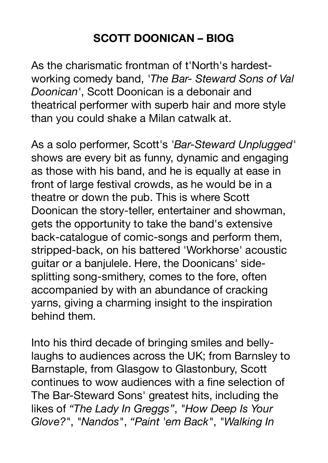## **SCOTT DOONICAN – BIOG**

As the charismatic frontman of t'North's hardestworking comedy band, *'The Bar- Steward Sons of Val Doonican'*, Scott Doonican is a debonair and theatrical performer with superb hair and more style than you could shake a Milan catwalk at.

As a solo performer, Scott's *'Bar-Steward Unplugged'* shows are every bit as funny, dynamic and engaging as those with his band, and he is equally at ease in front of large festival crowds, as he would be in a theatre or down the pub. This is where Scott Doonican the story-teller, entertainer and showman, gets the opportunity to take the band's extensive back-catalogue of comic-songs and perform them, stripped-back, on his battered 'Workhorse' acoustic guitar or a banjulele. Here, the Doonicans' sidesplitting song-smithery, comes to the fore, often accompanied by with an abundance of cracking yarns, giving a charming insight to the inspiration behind them.

Into his third decade of bringing smiles and bellylaughs to audiences across the UK; from Barnsley to Barnstaple, from Glasgow to Glastonbury, Scott continues to wow audiences with a fine selection of The Bar-Steward Sons' greatest hits, including the likes of *"The Lady In Greggs"*, *"How Deep Is Your Glove?"*, *"Nandos"*, *"Paint 'em Back"*, *"Walking In*